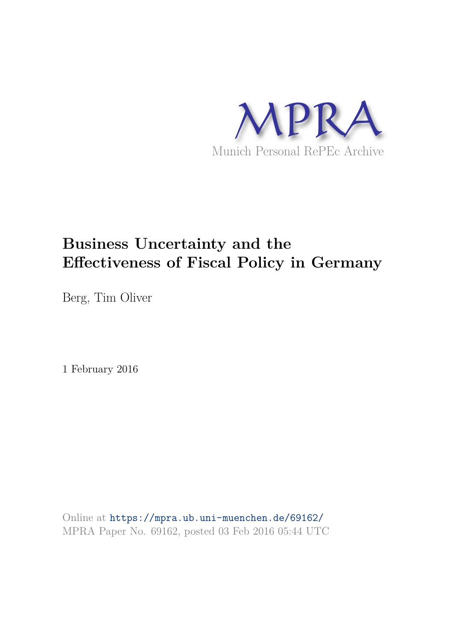

# **Business Uncertainty and the Effectiveness of Fiscal Policy in Germany**

Berg, Tim Oliver

1 February 2016

Online at https://mpra.ub.uni-muenchen.de/69162/ MPRA Paper No. 69162, posted 03 Feb 2016 05:44 UTC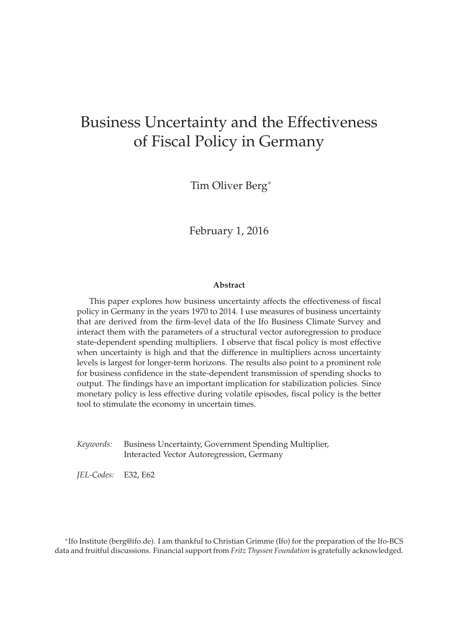# Business Uncertainty and the Effectiveness of Fiscal Policy in Germany

Tim Oliver Berg<sup>∗</sup>

February 1, 2016

#### **Abstract**

This paper explores how business uncertainty affects the effectiveness of fiscal policy in Germany in the years 1970 to 2014. I use measures of business uncertainty that are derived from the firm-level data of the Ifo Business Climate Survey and interact them with the parameters of a structural vector autoregression to produce state-dependent spending multipliers. I observe that fiscal policy is most effective when uncertainty is high and that the difference in multipliers across uncertainty levels is largest for longer-term horizons. The results also point to a prominent role for business confidence in the state-dependent transmission of spending shocks to output. The findings have an important implication for stabilization policies. Since monetary policy is less effective during volatile episodes, fiscal policy is the better tool to stimulate the economy in uncertain times.

*Keywords:* Business Uncertainty, Government Spending Multiplier, Interacted Vector Autoregression, Germany

*JEL-Codes:* E32, E62

∗ Ifo Institute (berg@ifo.de). I am thankful to Christian Grimme (Ifo) for the preparation of the Ifo-BCS data and fruitful discussions. Financial support from *Fritz Thyssen Foundation* is gratefully acknowledged.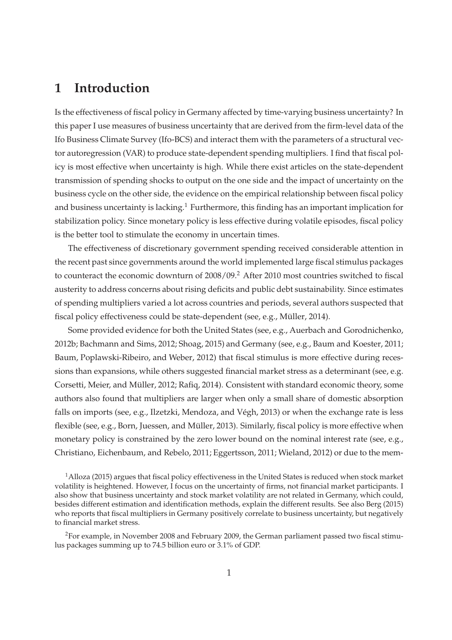#### **1 Introduction**

Is the effectiveness of fiscal policy in Germany affected by time-varying business uncertainty? In this paper I use measures of business uncertainty that are derived from the firm-level data of the Ifo Business Climate Survey (Ifo-BCS) and interact them with the parameters of a structural vector autoregression (VAR) to produce state-dependent spending multipliers. I find that fiscal policy is most effective when uncertainty is high. While there exist articles on the state-dependent transmission of spending shocks to output on the one side and the impact of uncertainty on the business cycle on the other side, the evidence on the empirical relationship between fiscal policy and business uncertainty is lacking.<sup>1</sup> Furthermore, this finding has an important implication for stabilization policy. Since monetary policy is less effective during volatile episodes, fiscal policy is the better tool to stimulate the economy in uncertain times.

The effectiveness of discretionary government spending received considerable attention in the recent past since governments around the world implemented large fiscal stimulus packages to counteract the economic downturn of 2008/09.<sup>2</sup> After 2010 most countries switched to fiscal austerity to address concerns about rising deficits and public debt sustainability. Since estimates of spending multipliers varied a lot across countries and periods, several authors suspected that fiscal policy effectiveness could be state-dependent (see, e.g., Müller, 2014).

Some provided evidence for both the United States (see, e.g., Auerbach and Gorodnichenko, 2012b; Bachmann and Sims, 2012; Shoag, 2015) and Germany (see, e.g., Baum and Koester, 2011; Baum, Poplawski-Ribeiro, and Weber, 2012) that fiscal stimulus is more effective during recessions than expansions, while others suggested financial market stress as a determinant (see, e.g. Corsetti, Meier, and Müller, 2012; Rafiq, 2014). Consistent with standard economic theory, some authors also found that multipliers are larger when only a small share of domestic absorption falls on imports (see, e.g., Ilzetzki, Mendoza, and Végh, 2013) or when the exchange rate is less flexible (see, e.g., Born, Juessen, and Müller, 2013). Similarly, fiscal policy is more effective when monetary policy is constrained by the zero lower bound on the nominal interest rate (see, e.g., Christiano, Eichenbaum, and Rebelo, 2011; Eggertsson, 2011; Wieland, 2012) or due to the mem-

<sup>1</sup>Alloza (2015) argues that fiscal policy effectiveness in the United States is reduced when stock market volatility is heightened. However, I focus on the uncertainty of firms, not financial market participants. I also show that business uncertainty and stock market volatility are not related in Germany, which could, besides different estimation and identification methods, explain the different results. See also Berg (2015) who reports that fiscal multipliers in Germany positively correlate to business uncertainty, but negatively to financial market stress.

<sup>2</sup>For example, in November 2008 and February 2009, the German parliament passed two fiscal stimulus packages summing up to 74.5 billion euro or 3.1% of GDP.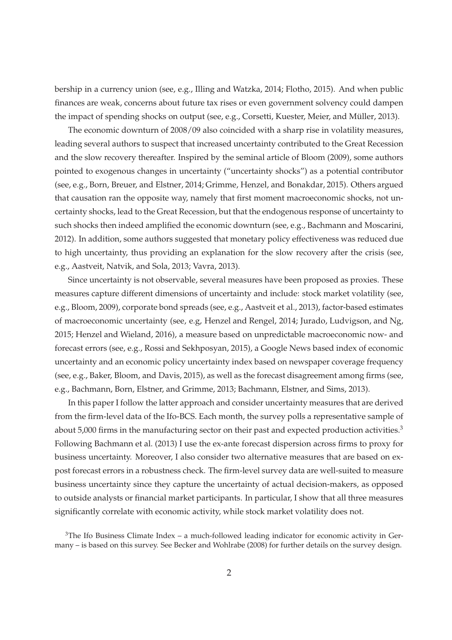bership in a currency union (see, e.g., Illing and Watzka, 2014; Flotho, 2015). And when public finances are weak, concerns about future tax rises or even government solvency could dampen the impact of spending shocks on output (see, e.g., Corsetti, Kuester, Meier, and Müller, 2013).

The economic downturn of 2008/09 also coincided with a sharp rise in volatility measures, leading several authors to suspect that increased uncertainty contributed to the Great Recession and the slow recovery thereafter. Inspired by the seminal article of Bloom (2009), some authors pointed to exogenous changes in uncertainty ("uncertainty shocks") as a potential contributor (see, e.g., Born, Breuer, and Elstner, 2014; Grimme, Henzel, and Bonakdar, 2015). Others argued that causation ran the opposite way, namely that first moment macroeconomic shocks, not uncertainty shocks, lead to the Great Recession, but that the endogenous response of uncertainty to such shocks then indeed amplified the economic downturn (see, e.g., Bachmann and Moscarini, 2012). In addition, some authors suggested that monetary policy effectiveness was reduced due to high uncertainty, thus providing an explanation for the slow recovery after the crisis (see, e.g., Aastveit, Natvik, and Sola, 2013; Vavra, 2013).

Since uncertainty is not observable, several measures have been proposed as proxies. These measures capture different dimensions of uncertainty and include: stock market volatility (see, e.g., Bloom, 2009), corporate bond spreads (see, e.g., Aastveit et al., 2013), factor-based estimates of macroeconomic uncertainty (see, e.g, Henzel and Rengel, 2014; Jurado, Ludvigson, and Ng, 2015; Henzel and Wieland, 2016), a measure based on unpredictable macroeconomic now- and forecast errors (see, e.g., Rossi and Sekhposyan, 2015), a Google News based index of economic uncertainty and an economic policy uncertainty index based on newspaper coverage frequency (see, e.g., Baker, Bloom, and Davis, 2015), as well as the forecast disagreement among firms (see, e.g., Bachmann, Born, Elstner, and Grimme, 2013; Bachmann, Elstner, and Sims, 2013).

In this paper I follow the latter approach and consider uncertainty measures that are derived from the firm-level data of the Ifo-BCS. Each month, the survey polls a representative sample of about 5,000 firms in the manufacturing sector on their past and expected production activities.<sup>3</sup> Following Bachmann et al. (2013) I use the ex-ante forecast dispersion across firms to proxy for business uncertainty. Moreover, I also consider two alternative measures that are based on expost forecast errors in a robustness check. The firm-level survey data are well-suited to measure business uncertainty since they capture the uncertainty of actual decision-makers, as opposed to outside analysts or financial market participants. In particular, I show that all three measures significantly correlate with economic activity, while stock market volatility does not.

 $3$ The Ifo Business Climate Index – a much-followed leading indicator for economic activity in Germany – is based on this survey. See Becker and Wohlrabe (2008) for further details on the survey design.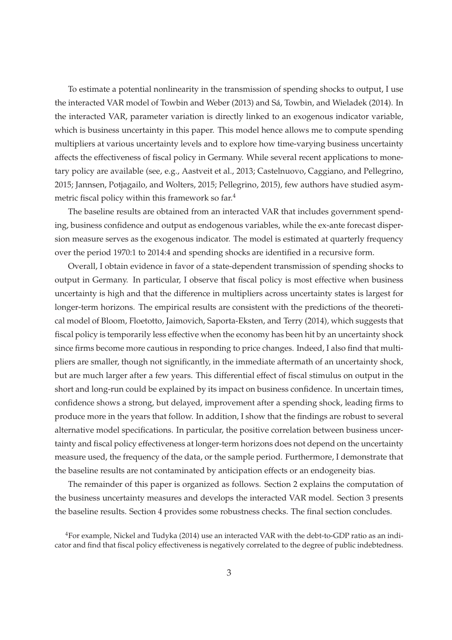To estimate a potential nonlinearity in the transmission of spending shocks to output, I use the interacted VAR model of Towbin and Weber (2013) and Sá, Towbin, and Wieladek (2014). In the interacted VAR, parameter variation is directly linked to an exogenous indicator variable, which is business uncertainty in this paper. This model hence allows me to compute spending multipliers at various uncertainty levels and to explore how time-varying business uncertainty affects the effectiveness of fiscal policy in Germany. While several recent applications to monetary policy are available (see, e.g., Aastveit et al., 2013; Castelnuovo, Caggiano, and Pellegrino, 2015; Jannsen, Potjagailo, and Wolters, 2015; Pellegrino, 2015), few authors have studied asymmetric fiscal policy within this framework so far.<sup>4</sup>

The baseline results are obtained from an interacted VAR that includes government spending, business confidence and output as endogenous variables, while the ex-ante forecast dispersion measure serves as the exogenous indicator. The model is estimated at quarterly frequency over the period 1970:1 to 2014:4 and spending shocks are identified in a recursive form.

Overall, I obtain evidence in favor of a state-dependent transmission of spending shocks to output in Germany. In particular, I observe that fiscal policy is most effective when business uncertainty is high and that the difference in multipliers across uncertainty states is largest for longer-term horizons. The empirical results are consistent with the predictions of the theoretical model of Bloom, Floetotto, Jaimovich, Saporta-Eksten, and Terry (2014), which suggests that fiscal policy is temporarily less effective when the economy has been hit by an uncertainty shock since firms become more cautious in responding to price changes. Indeed, I also find that multipliers are smaller, though not significantly, in the immediate aftermath of an uncertainty shock, but are much larger after a few years. This differential effect of fiscal stimulus on output in the short and long-run could be explained by its impact on business confidence. In uncertain times, confidence shows a strong, but delayed, improvement after a spending shock, leading firms to produce more in the years that follow. In addition, I show that the findings are robust to several alternative model specifications. In particular, the positive correlation between business uncertainty and fiscal policy effectiveness at longer-term horizons does not depend on the uncertainty measure used, the frequency of the data, or the sample period. Furthermore, I demonstrate that the baseline results are not contaminated by anticipation effects or an endogeneity bias.

The remainder of this paper is organized as follows. Section 2 explains the computation of the business uncertainty measures and develops the interacted VAR model. Section 3 presents the baseline results. Section 4 provides some robustness checks. The final section concludes.

<sup>4</sup>For example, Nickel and Tudyka (2014) use an interacted VAR with the debt-to-GDP ratio as an indicator and find that fiscal policy effectiveness is negatively correlated to the degree of public indebtedness.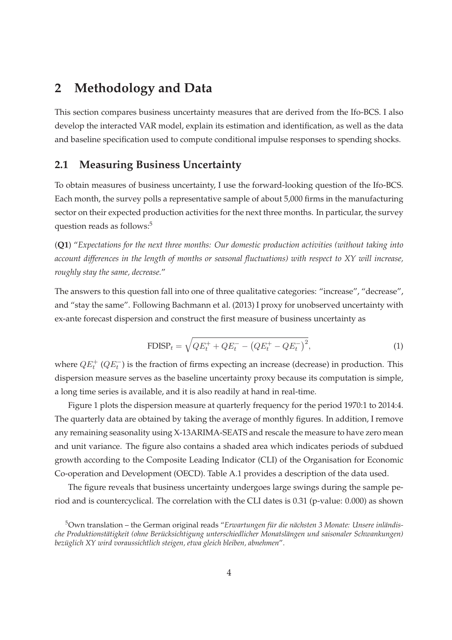## **2 Methodology and Data**

This section compares business uncertainty measures that are derived from the Ifo-BCS. I also develop the interacted VAR model, explain its estimation and identification, as well as the data and baseline specification used to compute conditional impulse responses to spending shocks.

#### **2.1 Measuring Business Uncertainty**

To obtain measures of business uncertainty, I use the forward-looking question of the Ifo-BCS. Each month, the survey polls a representative sample of about 5,000 firms in the manufacturing sector on their expected production activities for the next three months. In particular, the survey question reads as follows:<sup>5</sup>

(**Q1**) "*Expectations for the next three months: Our domestic production activities (without taking into account differences in the length of months or seasonal fluctuations) with respect to XY will increase, roughly stay the same, decrease.*"

The answers to this question fall into one of three qualitative categories: "increase", "decrease", and "stay the same". Following Bachmann et al. (2013) I proxy for unobserved uncertainty with ex-ante forecast dispersion and construct the first measure of business uncertainty as

$$
\text{FDISP}_t = \sqrt{Q E_t^+ + Q E_t^- - \left(Q E_t^+ - Q E_t^-\right)^2},\tag{1}
$$

where  $QE_t^+$  ( $QE_t^-$ ) is the fraction of firms expecting an increase (decrease) in production. This dispersion measure serves as the baseline uncertainty proxy because its computation is simple, a long time series is available, and it is also readily at hand in real-time.

Figure 1 plots the dispersion measure at quarterly frequency for the period 1970:1 to 2014:4. The quarterly data are obtained by taking the average of monthly figures. In addition, I remove any remaining seasonality using X-13ARIMA-SEATS and rescale the measure to have zero mean and unit variance. The figure also contains a shaded area which indicates periods of subdued growth according to the Composite Leading Indicator (CLI) of the Organisation for Economic Co-operation and Development (OECD). Table A.1 provides a description of the data used.

The figure reveals that business uncertainty undergoes large swings during the sample period and is countercyclical. The correlation with the CLI dates is 0.31 (p-value: 0.000) as shown

<sup>5</sup>Own translation – the German original reads "*Erwartungen für die nächsten 3 Monate: Unsere inländische Produktionstätigkeit (ohne Berücksichtigung unterschiedlicher Monatslängen und saisonaler Schwankungen) bezüglich XY wird voraussichtlich steigen, etwa gleich bleiben, abnehmen*".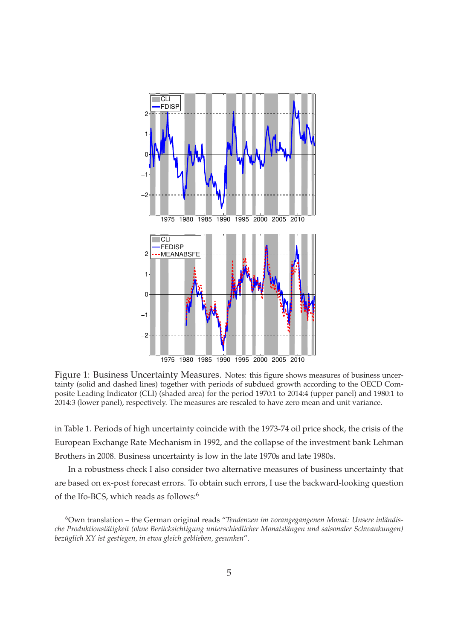

Figure 1: Business Uncertainty Measures. Notes: this figure shows measures of business uncertainty (solid and dashed lines) together with periods of subdued growth according to the OECD Composite Leading Indicator (CLI) (shaded area) for the period 1970:1 to 2014:4 (upper panel) and 1980:1 to 2014:3 (lower panel), respectively. The measures are rescaled to have zero mean and unit variance.

in Table 1. Periods of high uncertainty coincide with the 1973-74 oil price shock, the crisis of the European Exchange Rate Mechanism in 1992, and the collapse of the investment bank Lehman Brothers in 2008. Business uncertainty is low in the late 1970s and late 1980s.

In a robustness check I also consider two alternative measures of business uncertainty that are based on ex-post forecast errors. To obtain such errors, I use the backward-looking question of the Ifo-BCS, which reads as follows:<sup>6</sup>

<sup>6</sup>Own translation – the German original reads "*Tendenzen im vorangegangenen Monat: Unsere inländische Produktionstätigkeit (ohne Berücksichtigung unterschiedlicher Monatslängen und saisonaler Schwankungen) bezüglich XY ist gestiegen, in etwa gleich geblieben, gesunken*".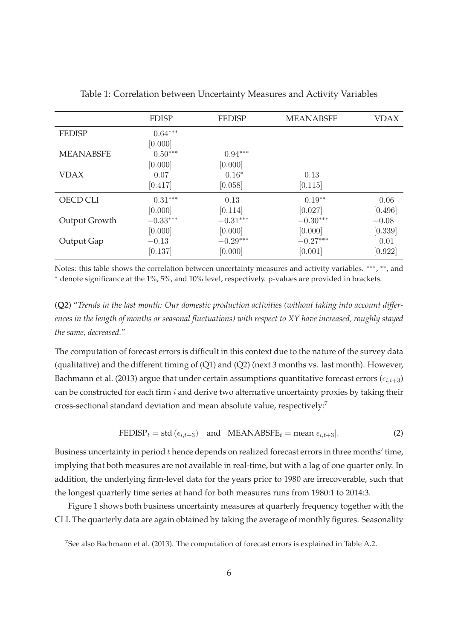|                  | <b>FDISP</b> | <b>FEDISP</b> | <b>MEANABSFE</b> | <b>VDAX</b> |
|------------------|--------------|---------------|------------------|-------------|
| <b>FEDISP</b>    | $0.64***$    |               |                  |             |
|                  | [0.000]      |               |                  |             |
| <b>MEANABSFE</b> | $0.50***$    | $0.94***$     |                  |             |
|                  | [0.000]      | [0.000]       |                  |             |
| <b>VDAX</b>      | 0.07         | $0.16*$       | 0.13             |             |
|                  | [0.417]      | [0.058]       | [0.115]          |             |
| OECD CLI         | $0.31***$    | 0.13          | $0.19**$         | 0.06        |
|                  | [0.000]      | [0.114]       | [0.027]          | [0.496]     |
| Output Growth    | $-0.33***$   | $-0.31***$    | $-0.30***$       | $-0.08$     |
|                  | [0.000]      | [0.000]       | [0.000]          | [0.339]     |
| Output Gap       | $-0.13$      | $-0.29***$    | $-0.27***$       | 0.01        |
|                  | [0.137]      | [0.000]       | [0.001]          | [0.922]     |

Table 1: Correlation between Uncertainty Measures and Activity Variables

Notes: this table shows the correlation between uncertainty measures and activity variables. \*\*\*, \*\*, and <sup>∗</sup> denote significance at the 1%, 5%, and 10% level, respectively. p-values are provided in brackets.

(**Q2**) "*Trends in the last month: Our domestic production activities (without taking into account differences in the length of months or seasonal fluctuations) with respect to XY have increased, roughly stayed the same, decreased.*"

The computation of forecast errors is difficult in this context due to the nature of the survey data (qualitative) and the different timing of (Q1) and (Q2) (next 3 months vs. last month). However, Bachmann et al. (2013) argue that under certain assumptions quantitative forecast errors ( $\epsilon_{i,t+3}$ ) can be constructed for each firm  $i$  and derive two alternative uncertainty proxies by taking their cross-sectional standard deviation and mean absolute value, respectively:<sup>7</sup>

$$
FEDISP_t = std(\epsilon_{i,t+3}) \quad \text{and} \quad MEANABSEE_t = \text{mean}|\epsilon_{i,t+3}|. \tag{2}
$$

Business uncertainty in period  $t$  hence depends on realized forecast errors in three months' time, implying that both measures are not available in real-time, but with a lag of one quarter only. In addition, the underlying firm-level data for the years prior to 1980 are irrecoverable, such that the longest quarterly time series at hand for both measures runs from 1980:1 to 2014:3.

Figure 1 shows both business uncertainty measures at quarterly frequency together with the CLI. The quarterly data are again obtained by taking the average of monthly figures. Seasonality

<sup>&</sup>lt;sup>7</sup>See also Bachmann et al. (2013). The computation of forecast errors is explained in Table A.2.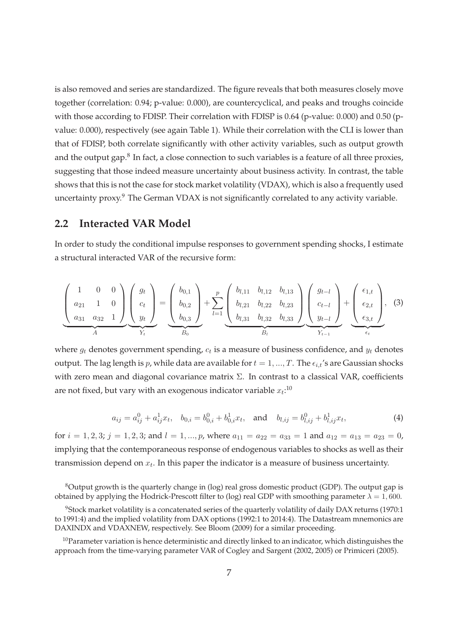is also removed and series are standardized. The figure reveals that both measures closely move together (correlation: 0.94; p-value: 0.000), are countercyclical, and peaks and troughs coincide with those according to FDISP. Their correlation with FDISP is 0.64 (p-value: 0.000) and 0.50 (pvalue: 0.000), respectively (see again Table 1). While their correlation with the CLI is lower than that of FDISP, both correlate significantly with other activity variables, such as output growth and the output gap. $^8$  In fact, a close connection to such variables is a feature of all three proxies, suggesting that those indeed measure uncertainty about business activity. In contrast, the table shows that this is not the case for stock market volatility (VDAX), which is also a frequently used uncertainty proxy.<sup>9</sup> The German VDAX is not significantly correlated to any activity variable.

#### **2.2 Interacted VAR Model**

In order to study the conditional impulse responses to government spending shocks, I estimate a structural interacted VAR of the recursive form:

$$
\underbrace{\begin{pmatrix} 1 & 0 & 0 \\ a_{21} & 1 & 0 \\ a_{31} & a_{32} & 1 \end{pmatrix}}_{A} \underbrace{\begin{pmatrix} g_t \\ c_t \\ y_t \end{pmatrix}}_{Y_t} = \underbrace{\begin{pmatrix} b_{0,1} \\ b_{0,2} \\ b_{0,3} \end{pmatrix}}_{P_0} + \sum_{l=1}^p \underbrace{\begin{pmatrix} b_{l,11} & b_{l,12} & b_{l,13} \\ b_{l,21} & b_{l,22} & b_{l,23} \\ b_{l,31} & b_{l,32} & b_{l,33} \end{pmatrix}}_{P_l} \underbrace{\begin{pmatrix} g_{t-l} \\ c_{t-l} \\ y_{t-l} \end{pmatrix}}_{Y_{t-1}} + \underbrace{\begin{pmatrix} \epsilon_{1,t} \\ \epsilon_{2,t} \\ \epsilon_{3,t} \end{pmatrix}}_{\epsilon_t},
$$
(3)

where  $g_t$  denotes government spending,  $c_t$  is a measure of business confidence, and  $y_t$  denotes output. The lag length is p, while data are available for  $t = 1, ..., T$ . The  $\epsilon_{i,t}$ 's are Gaussian shocks with zero mean and diagonal covariance matrix  $\Sigma$ . In contrast to a classical VAR, coefficients are not fixed, but vary with an exogenous indicator variable  $x_t:^{10}$ 

$$
a_{ij} = a_{ij}^0 + a_{ij}^1 x_t, \quad b_{0,i} = b_{0,i}^0 + b_{0,i}^1 x_t, \quad \text{and} \quad b_{l,ij} = b_{l,ij}^0 + b_{l,ij}^1 x_t,
$$
 (4)

for  $i = 1, 2, 3$ ;  $j = 1, 2, 3$ ; and  $l = 1, ..., p$ , where  $a_{11} = a_{22} = a_{33} = 1$  and  $a_{12} = a_{13} = a_{23} = 0$ , implying that the contemporaneous response of endogenous variables to shocks as well as their transmission depend on  $x_t$ . In this paper the indicator is a measure of business uncertainty.

<sup>&</sup>lt;sup>8</sup>Output growth is the quarterly change in (log) real gross domestic product (GDP). The output gap is obtained by applying the Hodrick-Prescott filter to (log) real GDP with smoothing parameter  $\lambda = 1,600$ .

<sup>9</sup>Stock market volatility is a concatenated series of the quarterly volatility of daily DAX returns (1970:1 to 1991:4) and the implied volatility from DAX options (1992:1 to 2014:4). The Datastream mnemonics are DAXINDX and VDAXNEW, respectively. See Bloom (2009) for a similar proceeding.

 $10$ Parameter variation is hence deterministic and directly linked to an indicator, which distinguishes the approach from the time-varying parameter VAR of Cogley and Sargent (2002, 2005) or Primiceri (2005).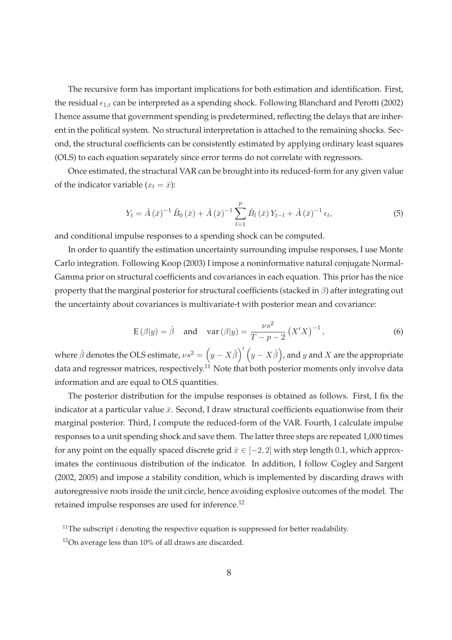The recursive form has important implications for both estimation and identification. First, the residual  $\epsilon_{1,t}$  can be interpreted as a spending shock. Following Blanchard and Perotti (2002) I hence assume that government spending is predetermined, reflecting the delays that are inherent in the political system. No structural interpretation is attached to the remaining shocks. Second, the structural coefficients can be consistently estimated by applying ordinary least squares (OLS) to each equation separately since error terms do not correlate with regressors.

Once estimated, the structural VAR can be brought into its reduced-form for any given value of the indicator variable  $(x_t = \bar{x})$ :

$$
Y_t = \hat{A}(\bar{x})^{-1} \hat{B}_0(\bar{x}) + \hat{A}(\bar{x})^{-1} \sum_{l=1}^p \hat{B}_l(\bar{x}) Y_{t-l} + \hat{A}(\bar{x})^{-1} \epsilon_t,
$$
\n(5)

and conditional impulse responses to a spending shock can be computed.

In order to quantify the estimation uncertainty surrounding impulse responses, I use Monte Carlo integration. Following Koop (2003) I impose a noninformative natural conjugate Normal-Gamma prior on structural coefficients and covariances in each equation. This prior has the nice property that the marginal posterior for structural coefficients (stacked in  $\beta$ ) after integrating out the uncertainty about covariances is multivariate-t with posterior mean and covariance:

$$
E(\beta|y) = \hat{\beta}
$$
 and  $var(\beta|y) = \frac{\nu s^2}{T - p - 2} (X'X)^{-1}$ , (6)

where  $\hat{\beta}$  denotes the OLS estimate,  $\nu s^2 = \left(y-X\hat{\beta}\right)' \left(y-X\hat{\beta}\right)$ , and  $y$  and  $X$  are the appropriate data and regressor matrices, respectively.<sup>11</sup> Note that both posterior moments only involve data information and are equal to OLS quantities.

The posterior distribution for the impulse responses is obtained as follows. First, I fix the indicator at a particular value  $\bar{x}$ . Second, I draw structural coefficients equationwise from their marginal posterior. Third, I compute the reduced-form of the VAR. Fourth, I calculate impulse responses to a unit spending shock and save them. The latter three steps are repeated 1,000 times for any point on the equally spaced discrete grid  $\bar{x} \in [-2, 2]$  with step length 0.1, which approximates the continuous distribution of the indicator. In addition, I follow Cogley and Sargent (2002, 2005) and impose a stability condition, which is implemented by discarding draws with autoregressive roots inside the unit circle, hence avoiding explosive outcomes of the model. The retained impulse responses are used for inference.<sup>12</sup>

<sup>&</sup>lt;sup>11</sup>The subscript  $i$  denoting the respective equation is suppressed for better readability.

<sup>12</sup>On average less than 10% of all draws are discarded.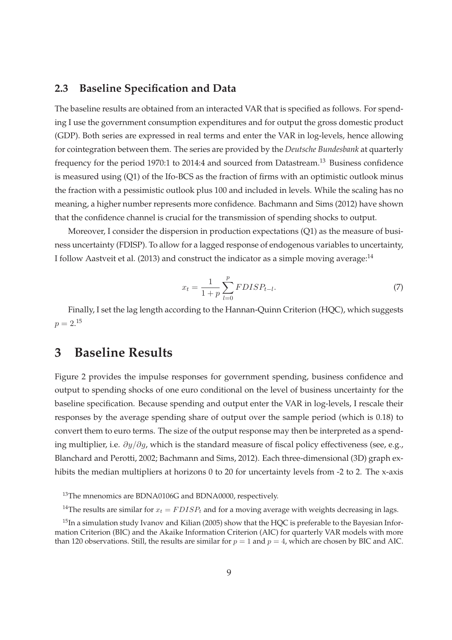#### **2.3 Baseline Specification and Data**

The baseline results are obtained from an interacted VAR that is specified as follows. For spending I use the government consumption expenditures and for output the gross domestic product (GDP). Both series are expressed in real terms and enter the VAR in log-levels, hence allowing for cointegration between them. The series are provided by the *Deutsche Bundesbank* at quarterly frequency for the period 1970:1 to 2014:4 and sourced from Datastream.<sup>13</sup> Business confidence is measured using (Q1) of the Ifo-BCS as the fraction of firms with an optimistic outlook minus the fraction with a pessimistic outlook plus 100 and included in levels. While the scaling has no meaning, a higher number represents more confidence. Bachmann and Sims (2012) have shown that the confidence channel is crucial for the transmission of spending shocks to output.

Moreover, I consider the dispersion in production expectations (Q1) as the measure of business uncertainty (FDISP). To allow for a lagged response of endogenous variables to uncertainty, I follow Aastveit et al. (2013) and construct the indicator as a simple moving average:<sup>14</sup>

$$
x_t = \frac{1}{1+p} \sum_{l=0}^{p} FDISP_{t-l}.
$$
\n(7)

Finally, I set the lag length according to the Hannan-Quinn Criterion (HQC), which suggests  $p = 2.15$ 

## **3 Baseline Results**

Figure 2 provides the impulse responses for government spending, business confidence and output to spending shocks of one euro conditional on the level of business uncertainty for the baseline specification. Because spending and output enter the VAR in log-levels, I rescale their responses by the average spending share of output over the sample period (which is 0.18) to convert them to euro terms. The size of the output response may then be interpreted as a spending multiplier, i.e.  $\partial y/\partial q$ , which is the standard measure of fiscal policy effectiveness (see, e.g., Blanchard and Perotti, 2002; Bachmann and Sims, 2012). Each three-dimensional (3D) graph exhibits the median multipliers at horizons 0 to 20 for uncertainty levels from -2 to 2. The x-axis

<sup>&</sup>lt;sup>13</sup>The mnenomics are BDNA0106G and BDNA0000, respectively.

<sup>&</sup>lt;sup>14</sup>The results are similar for  $x_t = FDISP_t$  and for a moving average with weights decreasing in lags.

<sup>&</sup>lt;sup>15</sup>In a simulation study Ivanov and Kilian (2005) show that the HQC is preferable to the Bayesian Information Criterion (BIC) and the Akaike Information Criterion (AIC) for quarterly VAR models with more than 120 observations. Still, the results are similar for  $p = 1$  and  $p = 4$ , which are chosen by BIC and AIC.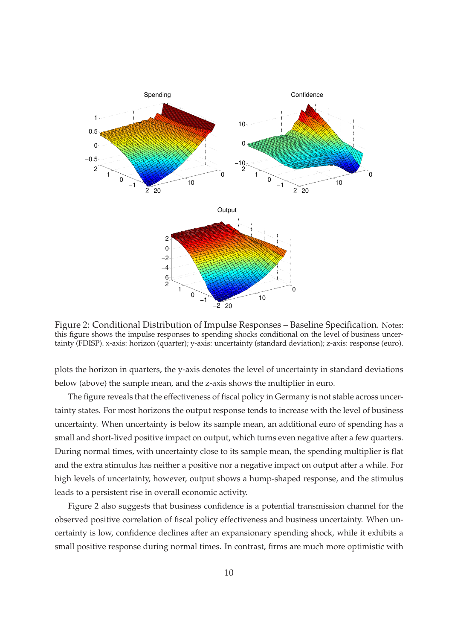

Figure 2: Conditional Distribution of Impulse Responses – Baseline Specification. Notes: this figure shows the impulse responses to spending shocks conditional on the level of business uncertainty (FDISP). x-axis: horizon (quarter); y-axis: uncertainty (standard deviation); z-axis: response (euro).

plots the horizon in quarters, the y-axis denotes the level of uncertainty in standard deviations below (above) the sample mean, and the z-axis shows the multiplier in euro.

The figure reveals that the effectiveness of fiscal policy in Germany is not stable across uncertainty states. For most horizons the output response tends to increase with the level of business uncertainty. When uncertainty is below its sample mean, an additional euro of spending has a small and short-lived positive impact on output, which turns even negative after a few quarters. During normal times, with uncertainty close to its sample mean, the spending multiplier is flat and the extra stimulus has neither a positive nor a negative impact on output after a while. For high levels of uncertainty, however, output shows a hump-shaped response, and the stimulus leads to a persistent rise in overall economic activity.

Figure 2 also suggests that business confidence is a potential transmission channel for the observed positive correlation of fiscal policy effectiveness and business uncertainty. When uncertainty is low, confidence declines after an expansionary spending shock, while it exhibits a small positive response during normal times. In contrast, firms are much more optimistic with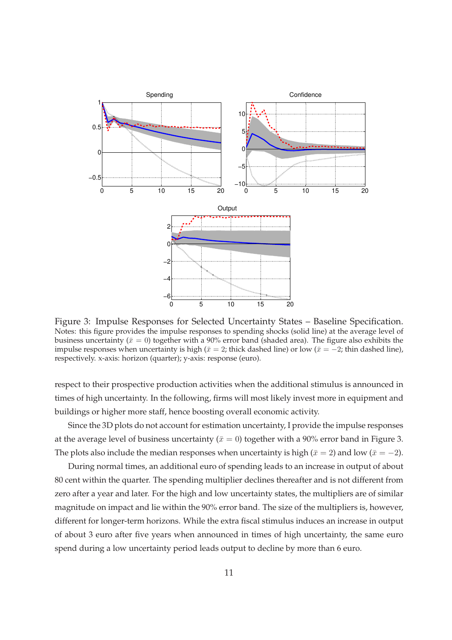

Figure 3: Impulse Responses for Selected Uncertainty States – Baseline Specification. Notes: this figure provides the impulse responses to spending shocks (solid line) at the average level of business uncertainty ( $\bar{x}=0$ ) together with a 90% error band (shaded area). The figure also exhibits the impulse responses when uncertainty is high ( $\bar{x}=2$ ; thick dashed line) or low ( $\bar{x}=-2$ ; thin dashed line), respectively. x-axis: horizon (quarter); y-axis: response (euro).

respect to their prospective production activities when the additional stimulus is announced in times of high uncertainty. In the following, firms will most likely invest more in equipment and buildings or higher more staff, hence boosting overall economic activity.

Since the 3D plots do not account for estimation uncertainty, I provide the impulse responses at the average level of business uncertainty ( $\bar{x} = 0$ ) together with a 90% error band in Figure 3. The plots also include the median responses when uncertainty is high ( $\bar{x}=2$ ) and low ( $\bar{x}=-2$ ).

During normal times, an additional euro of spending leads to an increase in output of about 80 cent within the quarter. The spending multiplier declines thereafter and is not different from zero after a year and later. For the high and low uncertainty states, the multipliers are of similar magnitude on impact and lie within the 90% error band. The size of the multipliers is, however, different for longer-term horizons. While the extra fiscal stimulus induces an increase in output of about 3 euro after five years when announced in times of high uncertainty, the same euro spend during a low uncertainty period leads output to decline by more than 6 euro.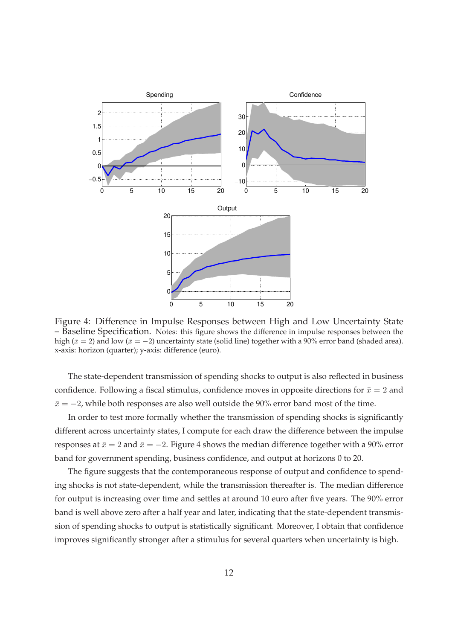

Figure 4: Difference in Impulse Responses between High and Low Uncertainty State – Baseline Specification. Notes: this figure shows the difference in impulse responses between the high ( $\bar{x} = 2$ ) and low ( $\bar{x} = -2$ ) uncertainty state (solid line) together with a 90% error band (shaded area). x-axis: horizon (quarter); y-axis: difference (euro).

The state-dependent transmission of spending shocks to output is also reflected in business confidence. Following a fiscal stimulus, confidence moves in opposite directions for  $\bar{x}=2$  and  $\bar{x} = -2$ , while both responses are also well outside the 90% error band most of the time.

In order to test more formally whether the transmission of spending shocks is significantly different across uncertainty states, I compute for each draw the difference between the impulse responses at  $\bar{x}=2$  and  $\bar{x}=-2$ . Figure 4 shows the median difference together with a 90% error band for government spending, business confidence, and output at horizons 0 to 20.

The figure suggests that the contemporaneous response of output and confidence to spending shocks is not state-dependent, while the transmission thereafter is. The median difference for output is increasing over time and settles at around 10 euro after five years. The 90% error band is well above zero after a half year and later, indicating that the state-dependent transmission of spending shocks to output is statistically significant. Moreover, I obtain that confidence improves significantly stronger after a stimulus for several quarters when uncertainty is high.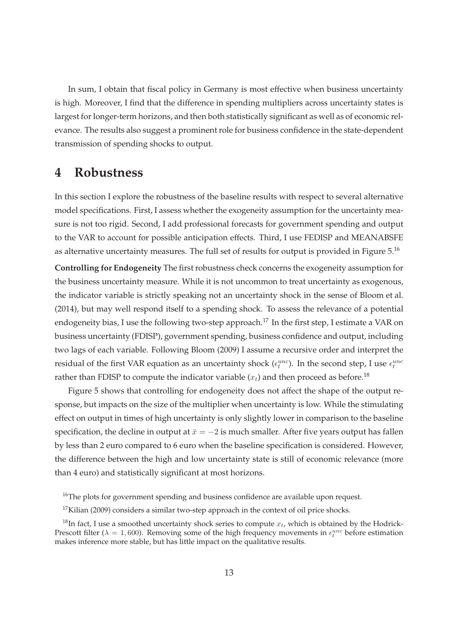In sum, I obtain that fiscal policy in Germany is most effective when business uncertainty is high. Moreover, I find that the difference in spending multipliers across uncertainty states is largest for longer-term horizons, and then both statistically significant as well as of economic relevance. The results also suggest a prominent role for business confidence in the state-dependent transmission of spending shocks to output.

### **4 Robustness**

In this section I explore the robustness of the baseline results with respect to several alternative model specifications. First, I assess whether the exogeneity assumption for the uncertainty measure is not too rigid. Second, I add professional forecasts for government spending and output to the VAR to account for possible anticipation effects. Third, I use FEDISP and MEANABSFE as alternative uncertainty measures. The full set of results for output is provided in Figure 5.<sup>16</sup>

**Controlling for Endogeneity** The first robustness check concerns the exogeneity assumption for the business uncertainty measure. While it is not uncommon to treat uncertainty as exogenous, the indicator variable is strictly speaking not an uncertainty shock in the sense of Bloom et al. (2014), but may well respond itself to a spending shock. To assess the relevance of a potential endogeneity bias, I use the following two-step approach.<sup>17</sup> In the first step, I estimate a VAR on business uncertainty (FDISP), government spending, business confidence and output, including two lags of each variable. Following Bloom (2009) I assume a recursive order and interpret the residual of the first VAR equation as an uncertainty shock ( $\epsilon_t^{unc}$ ). In the second step, I use  $\epsilon_t^{unc}$ rather than FDISP to compute the indicator variable  $(x_t)$  and then proceed as before.<sup>18</sup>

Figure 5 shows that controlling for endogeneity does not affect the shape of the output response, but impacts on the size of the multiplier when uncertainty is low. While the stimulating effect on output in times of high uncertainty is only slightly lower in comparison to the baseline specification, the decline in output at  $\bar{x} = -2$  is much smaller. After five years output has fallen by less than 2 euro compared to 6 euro when the baseline specification is considered. However, the difference between the high and low uncertainty state is still of economic relevance (more than 4 euro) and statistically significant at most horizons.

<sup>&</sup>lt;sup>16</sup>The plots for government spending and business confidence are available upon request.

 $17$ Kilian (2009) considers a similar two-step approach in the context of oil price shocks.

<sup>&</sup>lt;sup>18</sup>In fact, I use a smoothed uncertainty shock series to compute  $x_t$ , which is obtained by the Hodrick-Prescott filter ( $\lambda = 1,600$ ). Removing some of the high frequency movements in  $\epsilon_t^{unc}$  before estimation makes inference more stable, but has little impact on the qualitative results.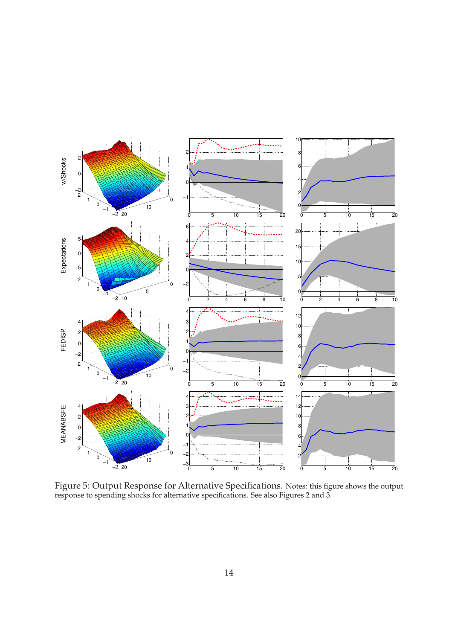

Figure 5: Output Response for Alternative Specifications. Notes: this figure shows the output response to spending shocks for alternative specifications. See also Figures 2 and 3.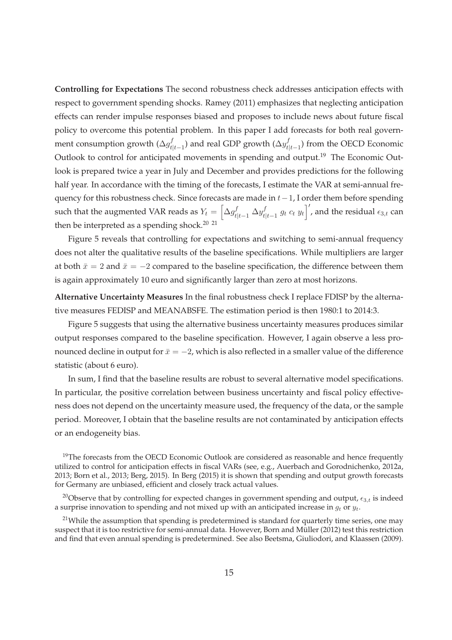**Controlling for Expectations** The second robustness check addresses anticipation effects with respect to government spending shocks. Ramey (2011) emphasizes that neglecting anticipation effects can render impulse responses biased and proposes to include news about future fiscal policy to overcome this potential problem. In this paper I add forecasts for both real government consumption growth ( $\Delta g^f_t$  $t_{t|t-1}^{f})$  and real GDP growth ( $\Delta y^f_t$  $t_{t|t-1}$ ) from the OECD Economic Outlook to control for anticipated movements in spending and output.<sup>19</sup> The Economic Outlook is prepared twice a year in July and December and provides predictions for the following half year. In accordance with the timing of the forecasts, I estimate the VAR at semi-annual frequency for this robustness check. Since forecasts are made in  $t-1$ , I order them before spending such that the augmented VAR reads as  $Y_t = \left[\Delta g^f_{t|t-1} ~ \Delta y^f_t \right]$  $\int_{t|t-1}^{f} g_t c_t y_t \Big|'$ , and the residual  $\epsilon_{3,t}$  can then be interpreted as a spending shock.<sup>20 21</sup>

Figure 5 reveals that controlling for expectations and switching to semi-annual frequency does not alter the qualitative results of the baseline specifications. While multipliers are larger at both  $\bar{x} = 2$  and  $\bar{x} = -2$  compared to the baseline specification, the difference between them is again approximately 10 euro and significantly larger than zero at most horizons.

**Alternative Uncertainty Measures** In the final robustness check I replace FDISP by the alternative measures FEDISP and MEANABSFE. The estimation period is then 1980:1 to 2014:3.

Figure 5 suggests that using the alternative business uncertainty measures produces similar output responses compared to the baseline specification. However, I again observe a less pronounced decline in output for  $\bar{x} = -2$ , which is also reflected in a smaller value of the difference statistic (about 6 euro).

In sum, I find that the baseline results are robust to several alternative model specifications. In particular, the positive correlation between business uncertainty and fiscal policy effectiveness does not depend on the uncertainty measure used, the frequency of the data, or the sample period. Moreover, I obtain that the baseline results are not contaminated by anticipation effects or an endogeneity bias.

<sup>19</sup>The forecasts from the OECD Economic Outlook are considered as reasonable and hence frequently utilized to control for anticipation effects in fiscal VARs (see, e.g., Auerbach and Gorodnichenko, 2012a, 2013; Born et al., 2013; Berg, 2015). In Berg (2015) it is shown that spending and output growth forecasts for Germany are unbiased, efficient and closely track actual values.

<sup>20</sup>Observe that by controlling for expected changes in government spending and output,  $\epsilon_{3,t}$  is indeed a surprise innovation to spending and not mixed up with an anticipated increase in  $g_t$  or  $y_t$ .

 $21$ While the assumption that spending is predetermined is standard for quarterly time series, one may suspect that it is too restrictive for semi-annual data. However, Born and Müller (2012) test this restriction and find that even annual spending is predetermined. See also Beetsma, Giuliodori, and Klaassen (2009).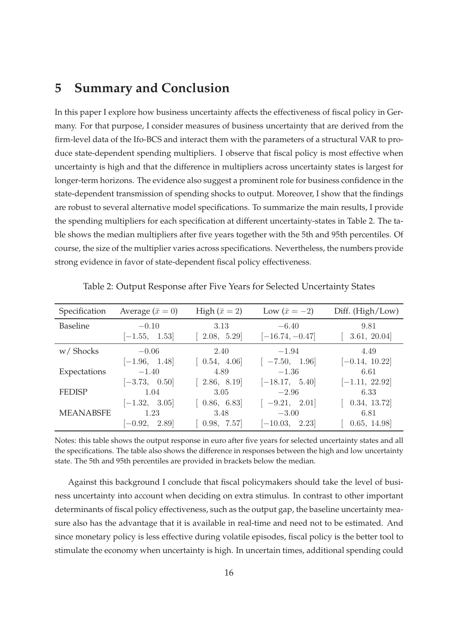### **5 Summary and Conclusion**

In this paper I explore how business uncertainty affects the effectiveness of fiscal policy in Germany. For that purpose, I consider measures of business uncertainty that are derived from the firm-level data of the Ifo-BCS and interact them with the parameters of a structural VAR to produce state-dependent spending multipliers. I observe that fiscal policy is most effective when uncertainty is high and that the difference in multipliers across uncertainty states is largest for longer-term horizons. The evidence also suggest a prominent role for business confidence in the state-dependent transmission of spending shocks to output. Moreover, I show that the findings are robust to several alternative model specifications. To summarize the main results, I provide the spending multipliers for each specification at different uncertainty-states in Table 2. The table shows the median multipliers after five years together with the 5th and 95th percentiles. Of course, the size of the multiplier varies across specifications. Nevertheless, the numbers provide strong evidence in favor of state-dependent fiscal policy effectiveness.

| Specification    | Average $(\bar{x} = 0)$ | High $(\bar{x} = 2)$ | Low $(\bar{x} = -2)$ | Diff. (High/Low) |
|------------------|-------------------------|----------------------|----------------------|------------------|
| <b>Baseline</b>  | $-0.10$                 | 3.13                 | $-6.40$              | 9.81             |
|                  | $[-1.55, 1.53]$         | [ $2.08, 5.29$ ]     | $[-16.74, -0.47]$    | 3.61, 20.04      |
| w/Shocks         | $-0.06$                 | 2.40                 | $-1.94$              | 4.49             |
|                  | $[-1.96, 1.48]$         | [0.54, 4.06]         | $[-7.50, 1.96]$      | $[-0.14, 10.22]$ |
| Expectations     | $-1.40$                 | 4.89                 | $-1.36$              | 6.61             |
|                  | $[-3.73, 0.50]$         | [ $2.86, 8.19$ ]     | $[-18.17, 5.40]$     | $[-1.11, 22.92]$ |
| <b>FEDISP</b>    | 1.04                    | 3.05                 | $-2.96$              | 6.33             |
|                  | $[-1.32, 3.05]$         | [0.86, 6.83]         | $-9.21, 2.01]$       | 0.34, 13.72      |
| <b>MEANABSFE</b> | 1.23                    | 3.48                 | $-3.00$              | 6.81             |
|                  | $[-0.92, 2.89]$         | 0.98, 7.57           | $[-10.03, 2.23]$     | 0.65, 14.98      |

Table 2: Output Response after Five Years for Selected Uncertainty States

Notes: this table shows the output response in euro after five years for selected uncertainty states and all the specifications. The table also shows the difference in responses between the high and low uncertainty state. The 5th and 95th percentiles are provided in brackets below the median.

Against this background I conclude that fiscal policymakers should take the level of business uncertainty into account when deciding on extra stimulus. In contrast to other important determinants of fiscal policy effectiveness, such as the output gap, the baseline uncertainty measure also has the advantage that it is available in real-time and need not to be estimated. And since monetary policy is less effective during volatile episodes, fiscal policy is the better tool to stimulate the economy when uncertainty is high. In uncertain times, additional spending could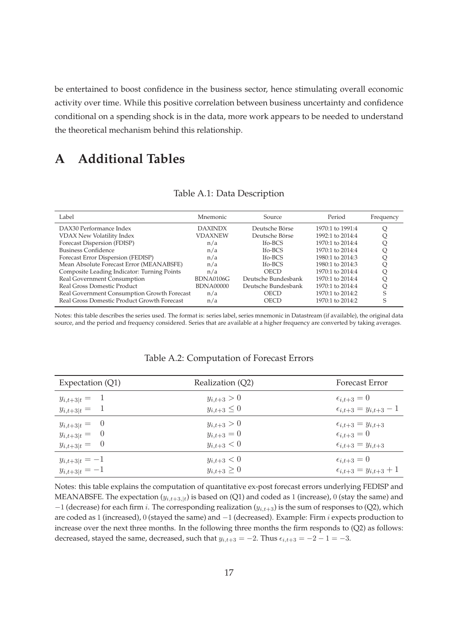be entertained to boost confidence in the business sector, hence stimulating overall economic activity over time. While this positive correlation between business uncertainty and confidence conditional on a spending shock is in the data, more work appears to be needed to understand the theoretical mechanism behind this relationship.

# **A Additional Tables**

| Label                                       | Mnemonic         | Source               | Period           | Frequency |
|---------------------------------------------|------------------|----------------------|------------------|-----------|
| DAX30 Performance Index                     | <b>DAXINDX</b>   | Deutsche Börse       | 1970:1 to 1991:4 |           |
| VDAX New Volatility Index                   | <b>VDAXNEW</b>   | Deutsche Börse       | 1992:1 to 2014:4 |           |
| Forecast Dispersion (FDISP)                 | n/a              | Ifo-BCS              | 1970:1 to 2014:4 |           |
| <b>Business Confidence</b>                  | n/a              | If <sub>o</sub> -BCS | 1970:1 to 2014:4 |           |
| Forecast Error Dispersion (FEDISP)          | n/a              | If <sub>o</sub> -BCS | 1980:1 to 2014:3 |           |
| Mean Absolute Forecast Error (MEANABSFE)    | n/a              | If <sub>o</sub> -BCS | 1980:1 to 2014:3 |           |
| Composite Leading Indicator: Turning Points | n/a              | <b>OECD</b>          | 1970:1 to 2014:4 |           |
| Real Government Consumption                 | BDNA0106G        | Deutsche Bundesbank  | 1970:1 to 2014:4 |           |
| Real Gross Domestic Product                 | <b>BDNA00000</b> | Deutsche Bundesbank  | 1970:1 to 2014:4 |           |
| Real Government Consumption Growth Forecast | n/a              | <b>OECD</b>          | 1970:1 to 2014:2 |           |
| Real Gross Domestic Product Growth Forecast | n/a              | OECD                 | 1970:1 to 2014:2 |           |

#### Table A.1: Data Description

Notes: this table describes the series used. The format is: series label, series mnemonic in Datastream (if available), the original data source, and the period and frequency considered. Series that are available at a higher frequency are converted by taking averages.

| Expectation (Q1)   | Realization (Q2)   | Forecast Error                     |
|--------------------|--------------------|------------------------------------|
| $y_{i,t+3 t} = 1$  | $y_{i,t+3} > 0$    | $\epsilon_{i,t+3}=0$               |
| $y_{i,t+3 t} = 1$  | $y_{i,t+3} \leq 0$ | $\epsilon_{i,t+3} = y_{i,t+3} - 1$ |
| $y_{i,t+3 t} = 0$  | $y_{i,t+3} > 0$    | $\epsilon_{i,t+3} = y_{i,t+3}$     |
| $y_{i,t+3 t} = 0$  | $y_{i,t+3} = 0$    | $\epsilon_{i,t+3}=0$               |
| $y_{i,t+3 t} = 0$  | $y_{i,t+3} < 0$    | $\epsilon_{i,t+3} = y_{i,t+3}$     |
| $y_{i,t+3 t} = -1$ | $y_{i,t+3} < 0$    | $\epsilon_{i,t+3}=0$               |
| $y_{i,t+3 t} = -1$ | $y_{i,t+3} \geq 0$ | $\epsilon_{i,t+3} = y_{i,t+3} + 1$ |

#### Table A.2: Computation of Forecast Errors

Notes: this table explains the computation of quantitative ex-post forecast errors underlying FEDISP and MEANABSFE. The expectation  $(y_{i,t+3,\vert t})$  is based on (Q1) and coded as 1 (increase), 0 (stay the same) and  $-1$  (decrease) for each firm i. The corresponding realization ( $y_{i,t+3}$ ) is the sum of responses to (Q2), which are coded as 1 (increased), 0 (stayed the same) and −1 (decreased). Example: Firm *i* expects production to increase over the next three months. In the following three months the firm responds to (Q2) as follows: decreased, stayed the same, decreased, such that  $y_{i,t+3} = -2$ . Thus  $\epsilon_{i,t+3} = -2 - 1 = -3$ .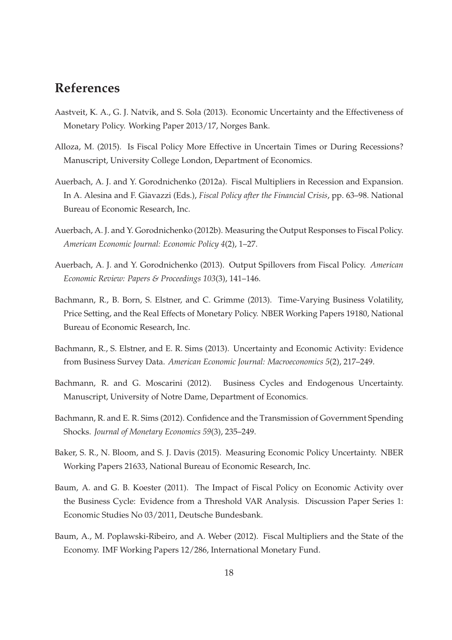## **References**

- Aastveit, K. A., G. J. Natvik, and S. Sola (2013). Economic Uncertainty and the Effectiveness of Monetary Policy. Working Paper 2013/17, Norges Bank.
- Alloza, M. (2015). Is Fiscal Policy More Effective in Uncertain Times or During Recessions? Manuscript, University College London, Department of Economics.
- Auerbach, A. J. and Y. Gorodnichenko (2012a). Fiscal Multipliers in Recession and Expansion. In A. Alesina and F. Giavazzi (Eds.), *Fiscal Policy after the Financial Crisis*, pp. 63–98. National Bureau of Economic Research, Inc.
- Auerbach, A. J. and Y. Gorodnichenko (2012b). Measuring the Output Responses to Fiscal Policy. *American Economic Journal: Economic Policy 4*(2), 1–27.
- Auerbach, A. J. and Y. Gorodnichenko (2013). Output Spillovers from Fiscal Policy. *American Economic Review: Papers & Proceedings 103*(3), 141–146.
- Bachmann, R., B. Born, S. Elstner, and C. Grimme (2013). Time-Varying Business Volatility, Price Setting, and the Real Effects of Monetary Policy. NBER Working Papers 19180, National Bureau of Economic Research, Inc.
- Bachmann, R., S. Elstner, and E. R. Sims (2013). Uncertainty and Economic Activity: Evidence from Business Survey Data. *American Economic Journal: Macroeconomics 5*(2), 217–249.
- Bachmann, R. and G. Moscarini (2012). Business Cycles and Endogenous Uncertainty. Manuscript, University of Notre Dame, Department of Economics.
- Bachmann, R. and E. R. Sims (2012). Confidence and the Transmission of Government Spending Shocks. *Journal of Monetary Economics 59*(3), 235–249.
- Baker, S. R., N. Bloom, and S. J. Davis (2015). Measuring Economic Policy Uncertainty. NBER Working Papers 21633, National Bureau of Economic Research, Inc.
- Baum, A. and G. B. Koester (2011). The Impact of Fiscal Policy on Economic Activity over the Business Cycle: Evidence from a Threshold VAR Analysis. Discussion Paper Series 1: Economic Studies No 03/2011, Deutsche Bundesbank.
- Baum, A., M. Poplawski-Ribeiro, and A. Weber (2012). Fiscal Multipliers and the State of the Economy. IMF Working Papers 12/286, International Monetary Fund.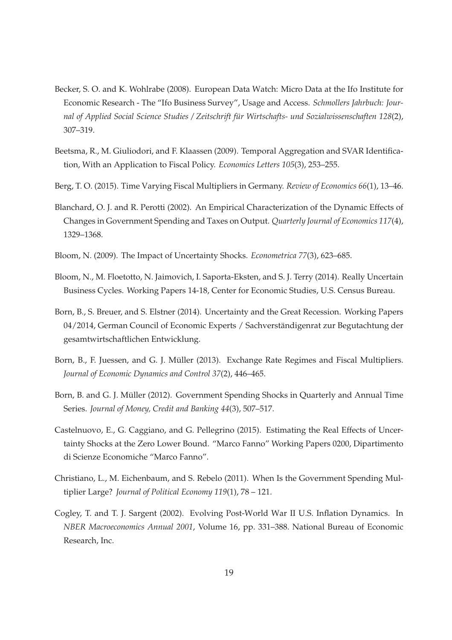- Becker, S. O. and K. Wohlrabe (2008). European Data Watch: Micro Data at the Ifo Institute for Economic Research - The "Ifo Business Survey", Usage and Access. *Schmollers Jahrbuch: Journal of Applied Social Science Studies / Zeitschrift für Wirtschafts- und Sozialwissenschaften 128*(2), 307–319.
- Beetsma, R., M. Giuliodori, and F. Klaassen (2009). Temporal Aggregation and SVAR Identification, With an Application to Fiscal Policy. *Economics Letters 105*(3), 253–255.
- Berg, T. O. (2015). Time Varying Fiscal Multipliers in Germany. *Review of Economics 66*(1), 13–46.
- Blanchard, O. J. and R. Perotti (2002). An Empirical Characterization of the Dynamic Effects of Changes in Government Spending and Taxes on Output. *Quarterly Journal of Economics 117*(4), 1329–1368.
- Bloom, N. (2009). The Impact of Uncertainty Shocks. *Econometrica 77*(3), 623–685.
- Bloom, N., M. Floetotto, N. Jaimovich, I. Saporta-Eksten, and S. J. Terry (2014). Really Uncertain Business Cycles. Working Papers 14-18, Center for Economic Studies, U.S. Census Bureau.
- Born, B., S. Breuer, and S. Elstner (2014). Uncertainty and the Great Recession. Working Papers 04/2014, German Council of Economic Experts / Sachverständigenrat zur Begutachtung der gesamtwirtschaftlichen Entwicklung.
- Born, B., F. Juessen, and G. J. Müller (2013). Exchange Rate Regimes and Fiscal Multipliers. *Journal of Economic Dynamics and Control 37*(2), 446–465.
- Born, B. and G. J. Müller (2012). Government Spending Shocks in Quarterly and Annual Time Series. *Journal of Money, Credit and Banking 44*(3), 507–517.
- Castelnuovo, E., G. Caggiano, and G. Pellegrino (2015). Estimating the Real Effects of Uncertainty Shocks at the Zero Lower Bound. "Marco Fanno" Working Papers 0200, Dipartimento di Scienze Economiche "Marco Fanno".
- Christiano, L., M. Eichenbaum, and S. Rebelo (2011). When Is the Government Spending Multiplier Large? *Journal of Political Economy 119*(1), 78 – 121.
- Cogley, T. and T. J. Sargent (2002). Evolving Post-World War II U.S. Inflation Dynamics. In *NBER Macroeconomics Annual 2001*, Volume 16, pp. 331–388. National Bureau of Economic Research, Inc.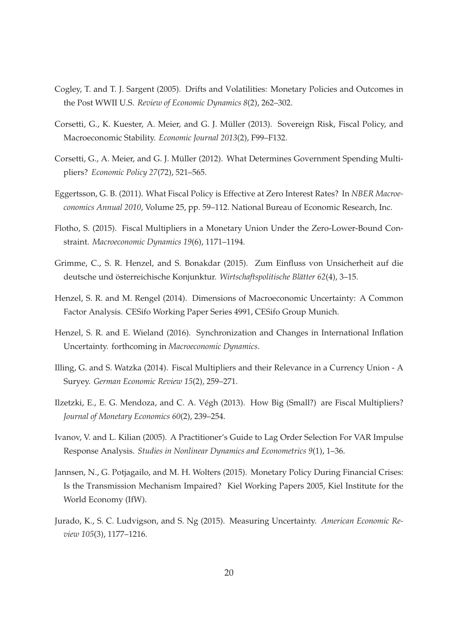- Cogley, T. and T. J. Sargent (2005). Drifts and Volatilities: Monetary Policies and Outcomes in the Post WWII U.S. *Review of Economic Dynamics 8*(2), 262–302.
- Corsetti, G., K. Kuester, A. Meier, and G. J. Müller (2013). Sovereign Risk, Fiscal Policy, and Macroeconomic Stability. *Economic Journal 2013*(2), F99–F132.
- Corsetti, G., A. Meier, and G. J. Müller (2012). What Determines Government Spending Multipliers? *Economic Policy 27*(72), 521–565.
- Eggertsson, G. B. (2011). What Fiscal Policy is Effective at Zero Interest Rates? In *NBER Macroeconomics Annual 2010*, Volume 25, pp. 59–112. National Bureau of Economic Research, Inc.
- Flotho, S. (2015). Fiscal Multipliers in a Monetary Union Under the Zero-Lower-Bound Constraint. *Macroeconomic Dynamics 19*(6), 1171–1194.
- Grimme, C., S. R. Henzel, and S. Bonakdar (2015). Zum Einfluss von Unsicherheit auf die deutsche und österreichische Konjunktur. *Wirtschaftspolitische Blätter 62*(4), 3–15.
- Henzel, S. R. and M. Rengel (2014). Dimensions of Macroeconomic Uncertainty: A Common Factor Analysis. CESifo Working Paper Series 4991, CESifo Group Munich.
- Henzel, S. R. and E. Wieland (2016). Synchronization and Changes in International Inflation Uncertainty. forthcoming in *Macroeconomic Dynamics*.
- Illing, G. and S. Watzka (2014). Fiscal Multipliers and their Relevance in a Currency Union A Suryey. *German Economic Review 15*(2), 259–271.
- Ilzetzki, E., E. G. Mendoza, and C. A. Végh (2013). How Big (Small?) are Fiscal Multipliers? *Journal of Monetary Economics 60*(2), 239–254.
- Ivanov, V. and L. Kilian (2005). A Practitioner's Guide to Lag Order Selection For VAR Impulse Response Analysis. *Studies in Nonlinear Dynamics and Econometrics 9*(1), 1–36.
- Jannsen, N., G. Potjagailo, and M. H. Wolters (2015). Monetary Policy During Financial Crises: Is the Transmission Mechanism Impaired? Kiel Working Papers 2005, Kiel Institute for the World Economy (IfW).
- Jurado, K., S. C. Ludvigson, and S. Ng (2015). Measuring Uncertainty. *American Economic Review 105*(3), 1177–1216.